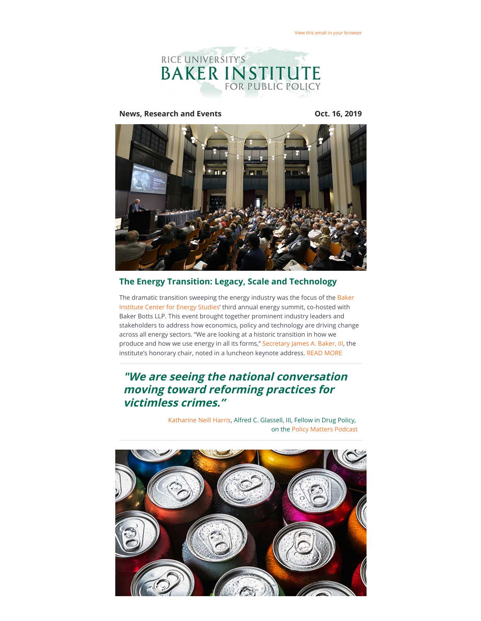

**News, Research and Events COMEX 16, 2019** 



## **The Energy Transition: Legacy, Scale and Technology**

[The dramatic transition sweeping the energy industry was the focus of the Baker](https://riceconnect.rice.edu/page.redir?target=https%3a%2f%2fwww.bakerinstitute.org%2fcenter-for-energy-studies%2f&srcid=88897&srctid=1&erid=ea00d09e-5dc4-479c-9385-7c4af602fb8e&trid=ea00d09e-5dc4-479c-9385-7c4af602fb8e) Institute Center for Energy Studies' third annual energy summit, co-hosted with Baker Botts LLP. This event brought together prominent industry leaders and stakeholders to address how economics, policy and technology are driving change across all energy sectors. "We are looking at a historic transition in how we produce and how we use energy in all its forms," [Secretary James A. Baker, III](https://riceconnect.rice.edu/page.redir?target=https%3a%2f%2fwww.bakerinstitute.org%2fexperts%2fjames-baker-iii%2f&srcid=88897&srctid=1&erid=ea00d09e-5dc4-479c-9385-7c4af602fb8e&trid=ea00d09e-5dc4-479c-9385-7c4af602fb8e), the institute's honorary chair, noted in a luncheon keynote address. [READ MORE](https://riceconnect.rice.edu/page.redir?target=https%3a%2f%2fwww.bakerinstitute.org%2fevents%2f2025%2f&srcid=88897&srctid=1&erid=ea00d09e-5dc4-479c-9385-7c4af602fb8e&trid=ea00d09e-5dc4-479c-9385-7c4af602fb8e)

# **"We are seeing the national conversation moving toward reforming practices for victimless crimes."**

[Katharine Neill Harris,](https://riceconnect.rice.edu/page.redir?target=https%3a%2f%2fwww.bakerinstitute.org%2fexperts%2fkatharine-neill%2f&srcid=88897&srctid=1&erid=ea00d09e-5dc4-479c-9385-7c4af602fb8e&trid=ea00d09e-5dc4-479c-9385-7c4af602fb8e) Alfred C. Glassell, III, Fellow in Drug Policy, on the [Policy Matters Podcast](https://riceconnect.rice.edu/page.redir?target=https%3a%2f%2fwww.bakerinstitute.org%2fpodcast%2f&srcid=88897&srctid=1&erid=ea00d09e-5dc4-479c-9385-7c4af602fb8e&trid=ea00d09e-5dc4-479c-9385-7c4af602fb8e)